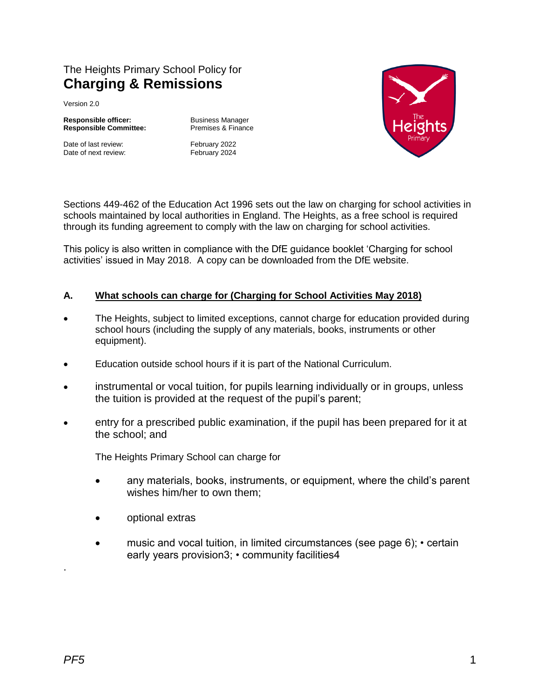# The Heights Primary School Policy for **Charging & Remissions**

Version 2.0

**Responsible officer:** Business Manager<br> **Responsible Committee:** Premises & Finance **Responsible Committee:** 

Date of last review: February 2022 Date of next review: February 2024



Sections 449-462 of the Education Act 1996 sets out the law on charging for school activities in schools maintained by local authorities in England. The Heights, as a free school is required through its funding agreement to comply with the law on charging for school activities.

This policy is also written in compliance with the DfE guidance booklet 'Charging for school activities' issued in May 2018. A copy can be downloaded from the DfE website.

# **A. What schools can charge for (Charging for School Activities May 2018)**

- The Heights, subject to limited exceptions, cannot charge for education provided during school hours (including the supply of any materials, books, instruments or other equipment).
- Education outside school hours if it is part of the National Curriculum.
- instrumental or vocal tuition, for pupils learning individually or in groups, unless the tuition is provided at the request of the pupil's parent;
- entry for a prescribed public examination, if the pupil has been prepared for it at the school; and

The Heights Primary School can charge for

- any materials, books, instruments, or equipment, where the child's parent wishes him/her to own them;
- optional extras
- music and vocal tuition, in limited circumstances (see page 6); certain early years provision3; • community facilities4

.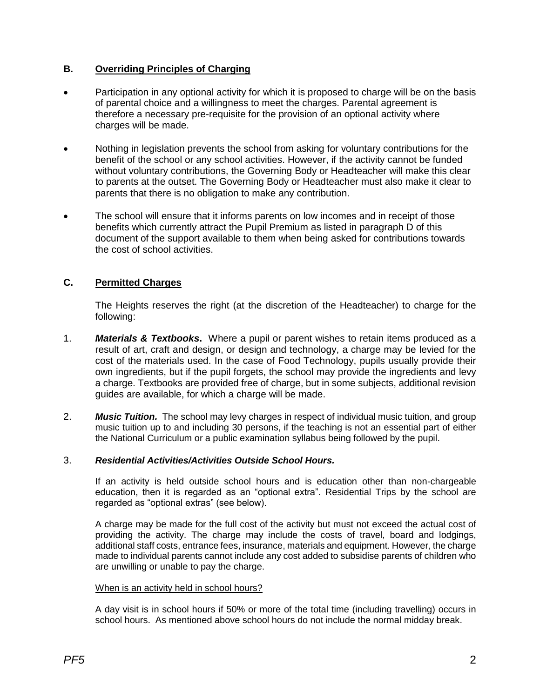## **B. Overriding Principles of Charging**

- Participation in any optional activity for which it is proposed to charge will be on the basis of parental choice and a willingness to meet the charges. Parental agreement is therefore a necessary pre-requisite for the provision of an optional activity where charges will be made.
- Nothing in legislation prevents the school from asking for voluntary contributions for the benefit of the school or any school activities. However, if the activity cannot be funded without voluntary contributions, the Governing Body or Headteacher will make this clear to parents at the outset. The Governing Body or Headteacher must also make it clear to parents that there is no obligation to make any contribution.
- The school will ensure that it informs parents on low incomes and in receipt of those benefits which currently attract the Pupil Premium as listed in paragraph D of this document of the support available to them when being asked for contributions towards the cost of school activities.

## **C. Permitted Charges**

The Heights reserves the right (at the discretion of the Headteacher) to charge for the following:

- 1. *Materials & Textbooks***.** Where a pupil or parent wishes to retain items produced as a result of art, craft and design, or design and technology, a charge may be levied for the cost of the materials used. In the case of Food Technology, pupils usually provide their own ingredients, but if the pupil forgets, the school may provide the ingredients and levy a charge. Textbooks are provided free of charge, but in some subjects, additional revision guides are available, for which a charge will be made.
- 2. *Music Tuition.* The school may levy charges in respect of individual music tuition, and group music tuition up to and including 30 persons, if the teaching is not an essential part of either the National Curriculum or a public examination syllabus being followed by the pupil.

## 3. *Residential Activities/Activities Outside School Hours.*

If an activity is held outside school hours and is education other than non-chargeable education, then it is regarded as an "optional extra". Residential Trips by the school are regarded as "optional extras" (see below).

A charge may be made for the full cost of the activity but must not exceed the actual cost of providing the activity. The charge may include the costs of travel, board and lodgings, additional staff costs, entrance fees, insurance, materials and equipment. However, the charge made to individual parents cannot include any cost added to subsidise parents of children who are unwilling or unable to pay the charge.

#### When is an activity held in school hours?

A day visit is in school hours if 50% or more of the total time (including travelling) occurs in school hours. As mentioned above school hours do not include the normal midday break.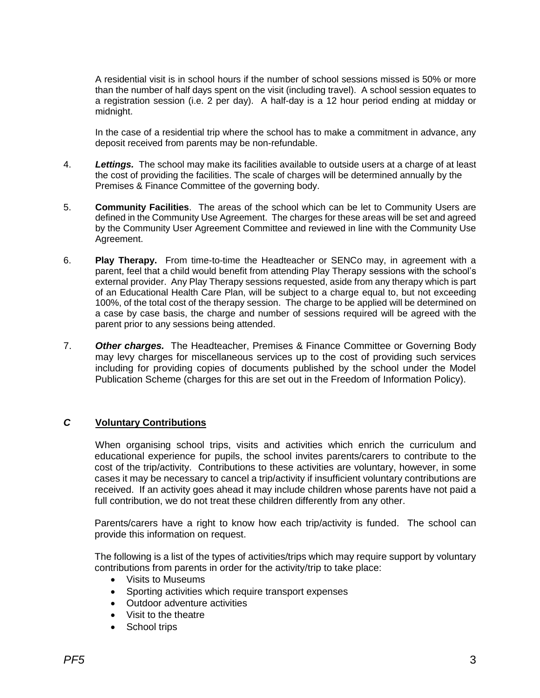A residential visit is in school hours if the number of school sessions missed is 50% or more than the number of half days spent on the visit (including travel). A school session equates to a registration session (i.e. 2 per day). A half-day is a 12 hour period ending at midday or midnight.

In the case of a residential trip where the school has to make a commitment in advance, any deposit received from parents may be non-refundable.

- 4. *Lettings.* The school may make its facilities available to outside users at a charge of at least the cost of providing the facilities. The scale of charges will be determined annually by the Premises & Finance Committee of the governing body.
- 5. **Community Facilities**. The areas of the school which can be let to Community Users are defined in the Community Use Agreement. The charges for these areas will be set and agreed by the Community User Agreement Committee and reviewed in line with the Community Use Agreement.
- 6. **Play Therapy.** From time-to-time the Headteacher or SENCo may, in agreement with a parent, feel that a child would benefit from attending Play Therapy sessions with the school's external provider. Any Play Therapy sessions requested, aside from any therapy which is part of an Educational Health Care Plan, will be subject to a charge equal to, but not exceeding 100%, of the total cost of the therapy session. The charge to be applied will be determined on a case by case basis, the charge and number of sessions required will be agreed with the parent prior to any sessions being attended.
- 7. *Other charges.* The Headteacher, Premises & Finance Committee or Governing Body may levy charges for miscellaneous services up to the cost of providing such services including for providing copies of documents published by the school under the Model Publication Scheme (charges for this are set out in the Freedom of Information Policy).

## *C* **Voluntary Contributions**

When organising school trips, visits and activities which enrich the curriculum and educational experience for pupils, the school invites parents/carers to contribute to the cost of the trip/activity. Contributions to these activities are voluntary, however, in some cases it may be necessary to cancel a trip/activity if insufficient voluntary contributions are received. If an activity goes ahead it may include children whose parents have not paid a full contribution, we do not treat these children differently from any other.

Parents/carers have a right to know how each trip/activity is funded. The school can provide this information on request.

The following is a list of the types of activities/trips which may require support by voluntary contributions from parents in order for the activity/trip to take place:

- Visits to Museums
- Sporting activities which require transport expenses
- Outdoor adventure activities
- Visit to the theatre
- School trips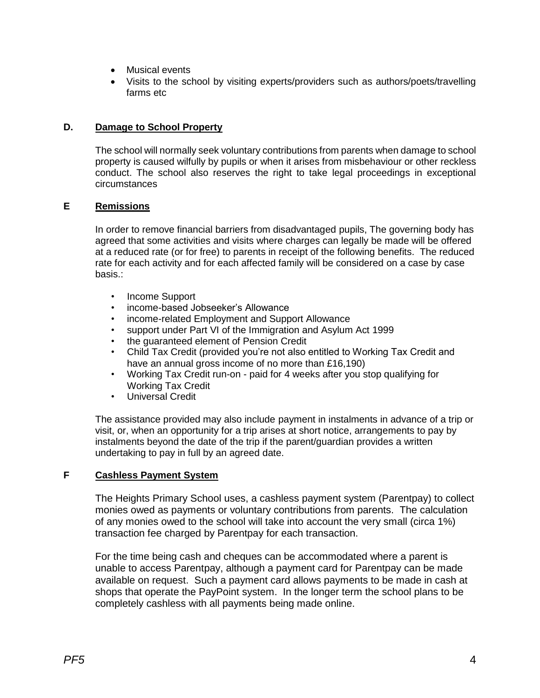- Musical events
- Visits to the school by visiting experts/providers such as authors/poets/travelling farms etc

## **D. Damage to School Property**

The school will normally seek voluntary contributions from parents when damage to school property is caused wilfully by pupils or when it arises from misbehaviour or other reckless conduct. The school also reserves the right to take legal proceedings in exceptional circumstances

## **E Remissions**

In order to remove financial barriers from disadvantaged pupils, The governing body has agreed that some activities and visits where charges can legally be made will be offered at a reduced rate (or for free) to parents in receipt of the following benefits. The reduced rate for each activity and for each affected family will be considered on a case by case basis.:

- Income Support
- income-based Jobseeker's Allowance
- income-related Employment and Support Allowance
- support under Part VI of the Immigration and Asylum Act 1999
- the guaranteed element of Pension Credit
- Child Tax Credit (provided you're not also entitled to Working Tax Credit and have an annual gross income of no more than £16,190)
- Working Tax Credit run-on paid for 4 weeks after you stop qualifying for Working Tax Credit
- Universal Credit

The assistance provided may also include payment in instalments in advance of a trip or visit, or, when an opportunity for a trip arises at short notice, arrangements to pay by instalments beyond the date of the trip if the parent/guardian provides a written undertaking to pay in full by an agreed date.

## **F Cashless Payment System**

The Heights Primary School uses, a cashless payment system (Parentpay) to collect monies owed as payments or voluntary contributions from parents. The calculation of any monies owed to the school will take into account the very small (circa 1%) transaction fee charged by Parentpay for each transaction.

For the time being cash and cheques can be accommodated where a parent is unable to access Parentpay, although a payment card for Parentpay can be made available on request. Such a payment card allows payments to be made in cash at shops that operate the PayPoint system. In the longer term the school plans to be completely cashless with all payments being made online.